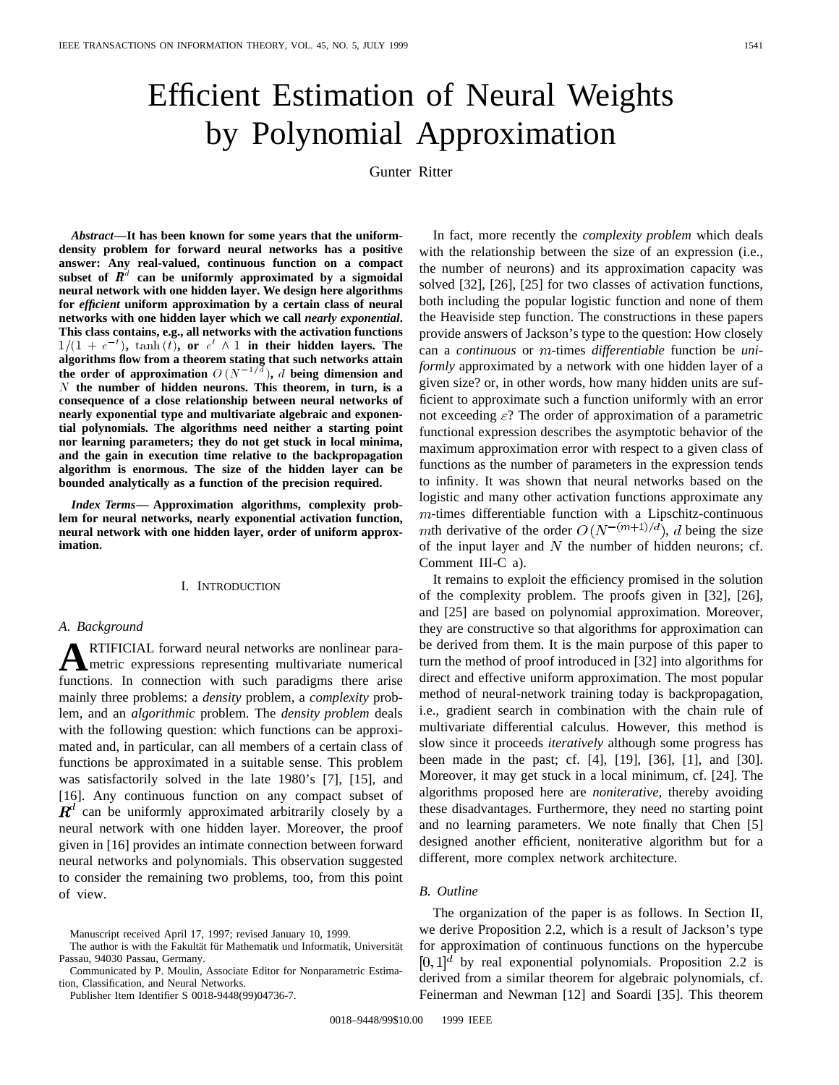# Efficient Estimation of Neural Weights by Polynomial Approximation

Gunter Ritter

*Abstract—***It has been known for some years that the uniformdensity problem for forward neural networks has a positive answer: Any real-valued, continuous function on a compact** subset of  $\mathbb{R}^d$  can be uniformly approximated by a sigmoidal **neural network with one hidden layer. We design here algorithms for** *efficient* **uniform approximation by a certain class of neural networks with one hidden layer which we call** *nearly exponential***. This class contains, e.g., all networks with the activation functions** for *efficient* uniform approximation by a certain class of neural networks with one hidden layer which we call *nearly exponential*.<br>This class contains, e.g., all networks with the activation functions  $1/(1 + e^{-t})$ ,  $\tanh(t)$ **algorithms flow from a theorem stating that such networks attain the order of approximation**  $O(N^{-1/d})$ , d being dimension and<br>the order of approximation  $O(N^{-1/d})$ , d being dimension and<br>the order of approximation  $O(N^{-1/d})$ , d being dimension and N **the number of hidden neurons. This theorem, in turn, is a consequence of a close relationship between neural networks of nearly exponential type and multivariate algebraic and exponential polynomials. The algorithms need neither a starting point nor learning parameters; they do not get stuck in local minima, and the gain in execution time relative to the backpropagation algorithm is enormous. The size of the hidden layer can be bounded analytically as a function of the precision required.**

*Index Terms—* **Approximation algorithms, complexity problem for neural networks, nearly exponential activation function, neural network with one hidden layer, order of uniform approximation.**

#### I. INTRODUCTION

#### *A. Background*

**A**RTIFICIAL forward neural networks are nonlinear parametric expressions representing multivariate numerical functions. In connection with such paradigms there arise mainly three problems: a *density* problem, a *complexity* problem, and an *algorithmic* problem. The *density problem* deals with the following question: which functions can be approximated and, in particular, can all members of a certain class of functions be approximated in a suitable sense. This problem was satisfactorily solved in the late 1980's [7], [15], and [16]. Any continuous function on any compact subset of  $\mathbf{R}^{d}$  can be uniformly approximated arbitrarily closely by a neural network with one hidden layer. Moreover, the proof given in [16] provides an intimate connection between forward neural networks and polynomials. This observation suggested to consider the remaining two problems, too, from this point of view.

Publisher Item Identifier S 0018-9448(99)04736-7.

In fact, more recently the *complexity problem* which deals with the relationship between the size of an expression (i.e., the number of neurons) and its approximation capacity was solved [32], [26], [25] for two classes of activation functions, both including the popular logistic function and none of them the Heaviside step function. The constructions in these papers provide answers of Jackson's type to the question: How closely can a *continuous* or *m*-times *differentiable* function be *uniformly* approximated by a network with one hidden layer of a given size? or, in other words, how many hidden units are sufficient to approximate such a function uniformly with an error not exceeding  $\varepsilon$ ? The order of approximation of a parametric functional expression describes the asymptotic behavior of the maximum approximation error with respect to a given class of functions as the number of parameters in the expression tends to infinity. It was shown that neural networks based on the logistic and many other activation functions approximate any  $m$ -times differentiable function with a Lipschitz-continuous mth derivative of the order  $O(N^{-(m+1)/d})$ , d being the size of the input layer and  $N$  the number of hidden neurons; cf. Comment III-C a).

It remains to exploit the efficiency promised in the solution of the complexity problem. The proofs given in [32], [26], and [25] are based on polynomial approximation. Moreover, they are constructive so that algorithms for approximation can be derived from them. It is the main purpose of this paper to turn the method of proof introduced in [32] into algorithms for direct and effective uniform approximation. The most popular method of neural-network training today is backpropagation, i.e., gradient search in combination with the chain rule of multivariate differential calculus. However, this method is slow since it proceeds *iteratively* although some progress has been made in the past; cf. [4], [19], [36], [1], and [30]. Moreover, it may get stuck in a local minimum, cf. [24]. The algorithms proposed here are *noniterative*, thereby avoiding these disadvantages. Furthermore, they need no starting point and no learning parameters. We note finally that Chen [5] designed another efficient, noniterative algorithm but for a different, more complex network architecture.

#### *B. Outline*

The organization of the paper is as follows. In Section II, we derive Proposition 2.2, which is a result of Jackson's type for approximation of continuous functions on the hypercube  $[0,1]^d$  by real exponential polynomials. Proposition 2.2 is derived from a similar theorem for algebraic polynomials, cf. Feinerman and Newman [12] and Soardi [35]. This theorem

Manuscript received April 17, 1997; revised January 10, 1999.

The author is with the Fakultät für Mathematik und Informatik, Universität Passau, 94030 Passau, Germany.

Communicated by P. Moulin, Associate Editor for Nonparametric Estimation, Classification, and Neural Networks.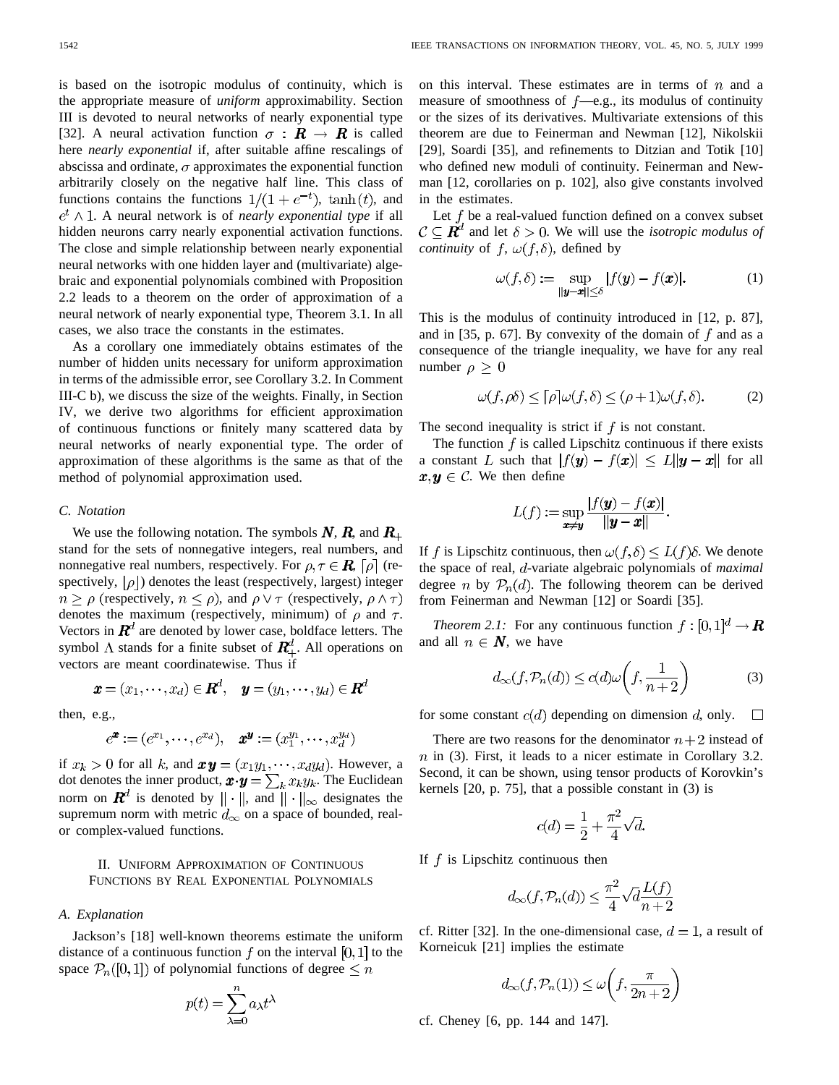is based on the isotropic modulus of continuity, which is the appropriate measure of *uniform* approximability. Section III is devoted to neural networks of nearly exponential type [32]. A neural activation function  $\sigma : \mathbf{R} \to \mathbf{R}$  is called here *nearly exponential* if, after suitable affine rescalings of abscissa and ordinate,  $\sigma$  approximates the exponential function arbitrarily closely on the negative half line. This class of functions contains the functions  $1/(1 + e^{-t})$ ,  $\tanh(t)$ , and  $e^t \wedge 1$ . A neural network is of *nearly exponential type* if all hidden neurons carry nearly exponential activation functions. The close and simple relationship between nearly exponential neural networks with one hidden layer and (multivariate) algebraic and exponential polynomials combined with Proposition 2.2 leads to a theorem on the order of approximation of a neural network of nearly exponential type, Theorem 3.1. In all cases, we also trace the constants in the estimates.

As a corollary one immediately obtains estimates of the number of hidden units necessary for uniform approximation in terms of the admissible error, see Corollary 3.2. In Comment III-C b), we discuss the size of the weights. Finally, in Section IV, we derive two algorithms for efficient approximation of continuous functions or finitely many scattered data by neural networks of nearly exponential type. The order of approximation of these algorithms is the same as that of the method of polynomial approximation used.

#### *C. Notation*

We use the following notation. The symbols  $N$ ,  $R$ , and  $R_+$ stand for the sets of nonnegative integers, real numbers, and nonnegative real numbers, respectively. For  $\rho, \tau \in \mathbb{R}$ ,  $[\rho]$  (respectively,  $|\rho|$  denotes the least (respectively, largest) integer  $n \ge \rho$  (respectively,  $n \le \rho$ ), and  $\rho \vee \tau$  (respectively,  $\rho \wedge \tau$ ) denotes the maximum (respectively, minimum) of  $\rho$  and  $\tau$ . Vectors in  $\mathbf{R}^{d}$  are denoted by lower case, boldface letters. The symbol  $\Lambda$  stands for a finite subset of  $\mathbf{R}^d_+$ . All operations on vectors are meant coordinatewise. Thus if

$$
\boldsymbol{x} = (x_1, \cdots, x_d) \in \boldsymbol{R}^d, \quad \boldsymbol{y} = (y_1, \cdots, y_d) \in \boldsymbol{R}^d
$$

then, e.g.,

$$
e^{\bm{x}} := (e^{x_1}, \cdots, e^{x_d}), \quad \bm{x}^{\bm{y}} := (x_1^{y_1}, \cdots, x_d^{y_d})
$$

if  $x_k > 0$  for all k, and  $xy = (x_1y_1, \dots, x_dy_d)$ . However, a dot denotes the inner product,  $\boldsymbol{x} \cdot \boldsymbol{y} = \sum_{k} x_{k} y_{k}$ . The Euclidean norm on  $\mathbf{R}^d$  is denoted by  $\|\cdot\|$ , and  $\|\cdot\|_{\infty}$  designates the supremum norm with metric  $d_{\infty}$  on a space of bounded, realor complex-valued functions.

#### II. UNIFORM APPROXIMATION OF CONTINUOUS FUNCTIONS BY REAL EXPONENTIAL POLYNOMIALS

#### *A. Explanation*

Jackson's [18] well-known theorems estimate the uniform distance of a continuous function f on the interval [0, 1] to the space  $\mathcal{P}_n([0,1])$  of polynomial functions of degree  $\leq n$ 

$$
p(t) = \sum_{\lambda=0}^{n} a_{\lambda} t^{\lambda}
$$

on this interval. These estimates are in terms of  $n$  and a measure of smoothness of  $f$ —e.g., its modulus of continuity or the sizes of its derivatives. Multivariate extensions of this theorem are due to Feinerman and Newman [12], Nikolskii [29], Soardi [35], and refinements to Ditzian and Totik [10] who defined new moduli of continuity. Feinerman and Newman [12, corollaries on p. 102], also give constants involved in the estimates.

Let  $f$  be a real-valued function defined on a convex subset  $\mathcal{C} \subseteq \mathbb{R}^d$  and let  $\delta > 0$ . We will use the *isotropic modulus of continuity* of  $f$ ,  $\omega(f, \delta)$ , defined by

$$
\omega(f,\delta) := \sup_{\|\mathbf{y}-\mathbf{x}\| \le \delta} |f(\mathbf{y}) - f(\mathbf{x})|.
$$
 (1)

This is the modulus of continuity introduced in [12, p. 87], and in [35, p. 67]. By convexity of the domain of  $f$  and as a consequence of the triangle inequality, we have for any real number  $\rho \geq 0$ 

$$
\omega(f,\rho\delta) \le \lceil \rho \rceil \omega(f,\delta) \le (\rho+1)\omega(f,\delta). \tag{2}
$$

The second inequality is strict if  $f$  is not constant.

The function  $f$  is called Lipschitz continuous if there exists a constant L such that  $|f(\mathbf{y}) - f(\mathbf{x})| \le L ||\mathbf{y} - \mathbf{x}||$  for all  $x, y \in \mathcal{C}$ . We then define

$$
L(f) := \sup_{\mathbf{x} \neq \mathbf{y}} \frac{|f(\mathbf{y}) - f(\mathbf{x})|}{\|\mathbf{y} - \mathbf{x}\|}.
$$

If f is Lipschitz continuous, then  $\omega(f, \delta) \leq L(f)\delta$ . We denote the space of real,  $d$ -variate algebraic polynomials of *maximal* degree *n* by  $P_n(d)$ . The following theorem can be derived from Feinerman and Newman [12] or Soardi [35].

*Theorem 2.1:* For any continuous function  $f : [0,1]^d \to \mathbb{R}$ and all  $n \in \mathbb{N}$ , we have

$$
d_{\infty}(f, \mathcal{P}_n(d)) \le c(d)\omega\left(f, \frac{1}{n+2}\right) \tag{3}
$$

for some constant  $c(d)$  depending on dimension d, only.  $\Box$ 

There are two reasons for the denominator  $n+2$  instead of  $n$  in (3). First, it leads to a nicer estimate in Corollary 3.2. Second, it can be shown, using tensor products of Korovkin's kernels [20, p. 75], that a possible constant in (3) is

$$
c(d) = \frac{1}{2} + \frac{\pi^2}{4}\sqrt{d}.
$$

If  $f$  is Lipschitz continuous then

$$
d_{\infty}(f, \mathcal{P}_n(d)) \le \frac{\pi^2}{4} \sqrt{d} \frac{L(f)}{n+2}
$$

cf. Ritter [32]. In the one-dimensional case,  $d = 1$ , a result of Korneicuk [21] implies the estimate

$$
d_{\infty}(f, \mathcal{P}_n(1)) \le \omega\left(f, \frac{\pi}{2n+2}\right)
$$

cf. Cheney [6, pp. 144 and 147].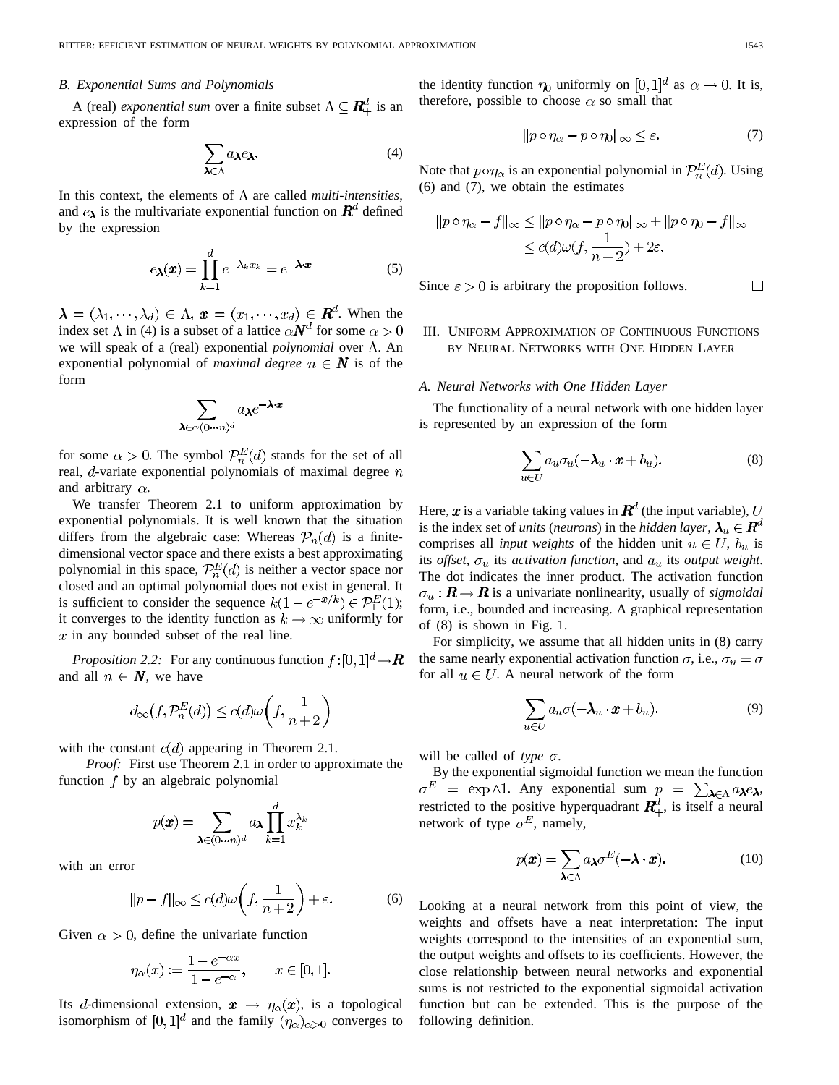#### *B. Exponential Sums and Polynomials*

A (real) *exponential sum* over a finite subset  $\Lambda \subseteq \mathbb{R}_+^d$  is an expression of the form

$$
\sum_{\pmb{\lambda} \in \Lambda} a_{\pmb{\lambda}} e_{\pmb{\lambda}}.\tag{4}
$$

In this context, the elements of  $\Lambda$  are called *multi-intensities*, and  $e_{\lambda}$  is the multivariate exponential function on  $\mathbf{R}^{d}$  defined by the expression

$$
e_{\lambda}(\boldsymbol{x}) = \prod_{k=1}^{d} e^{-\lambda_k x_k} = e^{-\lambda \cdot \boldsymbol{x}}
$$
 (5)

 $\lambda = (\lambda_1, \dots, \lambda_d) \in \Lambda$ ,  $\boldsymbol{x} = (x_1, \dots, x_d) \in \boldsymbol{R}^d$ . When the index set  $\Lambda$  in (4) is a subset of a lattice  $\alpha \mathbf{N}^d$  for some  $\alpha > 0$ we will speak of a (real) exponential *polynomial* over  $\Lambda$ . An exponential polynomial of *maximal degree*  $n \in \mathbb{N}$  is of the form

$$
\sum_{\boldsymbol{\lambda} \in \alpha (0 \cdots n)^d} a_{\boldsymbol{\lambda}} e^{-\boldsymbol{\lambda} \cdot \boldsymbol{x}}
$$

for some  $\alpha > 0$ . The symbol  $\mathcal{P}_n^E(d)$  stands for the set of all real,  $d$ -variate exponential polynomials of maximal degree  $n$ and arbitrary  $\alpha$ .

We transfer Theorem 2.1 to uniform approximation by exponential polynomials. It is well known that the situation differs from the algebraic case: Whereas  $\mathcal{P}_n(d)$  is a finitedimensional vector space and there exists a best approximating polynomial in this space,  $\mathcal{P}_n^E(d)$  is neither a vector space nor closed and an optimal polynomial does not exist in general. It is sufficient to consider the sequence  $k(1 - e^{-x/k}) \in \mathcal{P}_1^E(1)$ ; it converges to the identity function as  $k \to \infty$  uniformly for  $x$  in any bounded subset of the real line.

*Proposition 2.2:* For any continuous function  $f:[0,1]^d \rightarrow \mathbb{R}$ and all  $n \in \mathbb{N}$ , we have

$$
d_{\infty}(f, \mathcal{P}_n^E(d)) \le c(d)\omega\left(f, \frac{1}{n+2}\right)
$$

with the constant  $c(d)$  appearing in Theorem 2.1.

*Proof:* First use Theorem 2.1 in order to approximate the function  $f$  by an algebraic polynomial

$$
p(\pmb{x}) = \sum_{\pmb{\lambda} \in (0 \cdots n)^d} a_{\pmb{\lambda}} \prod_{k=1}^d x_k^{\lambda_k}
$$

with an error

$$
||p - f||_{\infty} \le c(d)\omega\left(f, \frac{1}{n+2}\right) + \varepsilon. \tag{6}
$$

Given  $\alpha > 0$ , define the univariate function

$$
\eta_{\alpha}(x) := \frac{1 - e^{-\alpha x}}{1 - e^{-\alpha}}, \qquad x \in [0, 1].
$$

Its d-dimensional extension,  $x \to \eta_{\alpha}(x)$ , is a topological isomorphism of  $[0,1]^d$  and the family  $(\eta_\alpha)_{\alpha>0}$  converges to the identity function  $\eta_0$  uniformly on [0, 1]<sup>d</sup> as  $\alpha \to 0$ . It is, therefore, possible to choose  $\alpha$  so small that

$$
||p \circ \eta_{\alpha} - p \circ \eta_0||_{\infty} \le \varepsilon. \tag{7}
$$

Note that  $p \circ \eta_{\alpha}$  is an exponential polynomial in  $\mathcal{P}_n^E(d)$ . Using (6) and (7), we obtain the estimates

$$
||p \circ \eta_{\alpha} - f||_{\infty} \le ||p \circ \eta_{\alpha} - p \circ \eta_{0}||_{\infty} + ||p \circ \eta_{0} - f||_{\infty}
$$
  

$$
\le c(d)\omega(f, \frac{1}{n+2}) + 2\varepsilon.
$$

Since  $\epsilon > 0$  is arbitrary the proposition follows.

## III. UNIFORM APPROXIMATION OF CONTINUOUS FUNCTIONS

### *A. Neural Networks with One Hidden Layer*

The functionality of a neural network with one hidden layer is represented by an expression of the form

BY NEURAL NETWORKS WITH ONE HIDDEN LAYER

$$
\sum_{u \in U} a_u \sigma_u (-\lambda_u \cdot x + b_u). \tag{8}
$$

Here, x is a variable taking values in  $\mathbb{R}^d$  (the input variable), U is the index set of *units* (*neurons*) in the *hidden layer*,  $\lambda_u \in \mathbb{R}^d$ comprises all *input weights* of the hidden unit  $u \in U$ ,  $b_u$  is its *offset*,  $\sigma_u$  its *activation function*, and  $a_u$  its *output weight*. The dot indicates the inner product. The activation function  $\sigma_u : \mathbf{R} \to \mathbf{R}$  is a univariate nonlinearity, usually of *sigmoidal* form, i.e., bounded and increasing. A graphical representation of (8) is shown in Fig. 1.

For simplicity, we assume that all hidden units in (8) carry the same nearly exponential activation function  $\sigma$ , i.e.,  $\sigma_u = \sigma$ for all  $u \in U$ . A neural network of the form

$$
\sum_{u \in U} a_u \sigma(-\lambda_u \cdot x + b_u). \tag{9}
$$

will be called of *type*  $\sigma$ .

By the exponential sigmoidal function we mean the function  $\sigma^E = \exp \Lambda 1$ . Any exponential sum  $p = \sum_{\lambda \in \Lambda} a_{\lambda} e_{\lambda}$ . restricted to the positive hyperquadrant  $\mathbf{R}_{+}^{d}$ , is itself a neural network of type  $\sigma^E$ , namely,

$$
p(\boldsymbol{x}) = \sum_{\boldsymbol{\lambda} \in \Lambda} a_{\boldsymbol{\lambda}} \sigma^E(-\boldsymbol{\lambda} \cdot \boldsymbol{x}).
$$
 (10)

Looking at a neural network from this point of view, the weights and offsets have a neat interpretation: The input weights correspond to the intensities of an exponential sum, the output weights and offsets to its coefficients. However, the close relationship between neural networks and exponential sums is not restricted to the exponential sigmoidal activation function but can be extended. This is the purpose of the following definition.

 $\Box$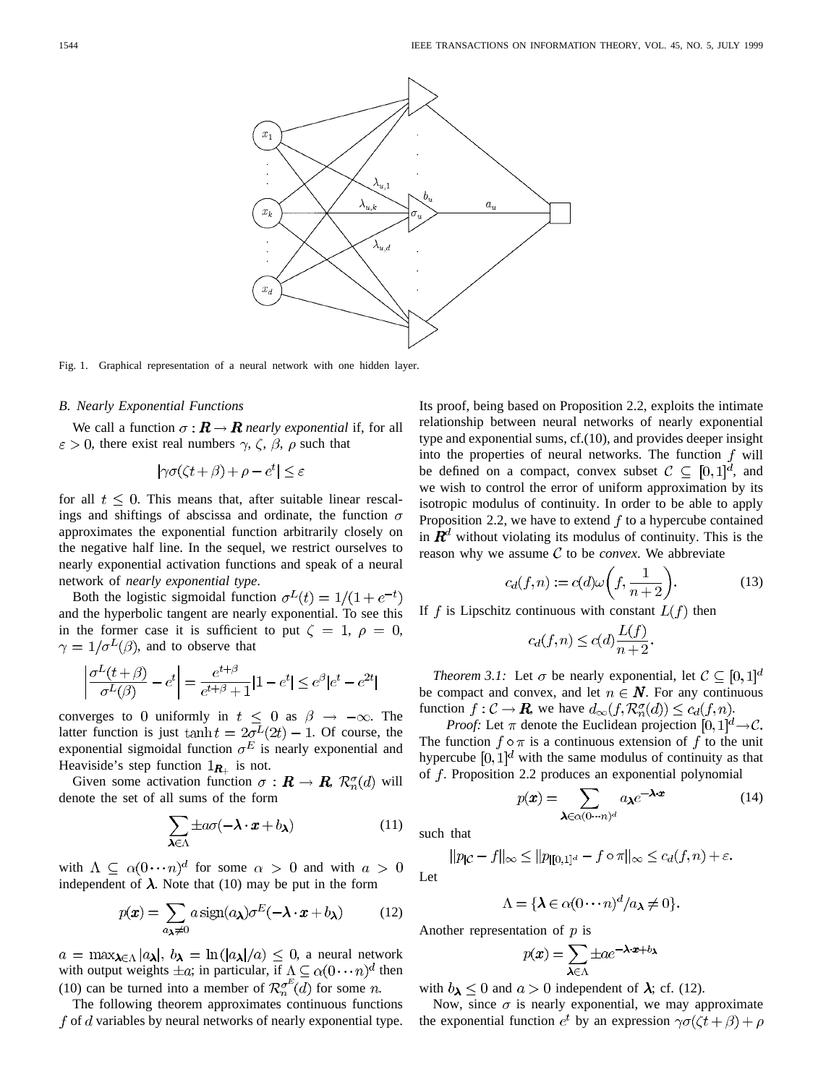

Fig. 1. Graphical representation of a neural network with one hidden layer.

#### *B. Nearly Exponential Functions*

We call a function  $\sigma : \mathbf{R} \to \mathbf{R}$  *nearly exponential* if, for all  $\varepsilon > 0$ , there exist real numbers  $\gamma$ ,  $\zeta$ ,  $\beta$ ,  $\rho$  such that

$$
|\gamma \sigma(\zeta t + \beta) + \rho - e^t| \le \varepsilon
$$

for all  $t \leq 0$ . This means that, after suitable linear rescalings and shiftings of abscissa and ordinate, the function  $\sigma$ approximates the exponential function arbitrarily closely on the negative half line. In the sequel, we restrict ourselves to nearly exponential activation functions and speak of a neural network of *nearly exponential type*.

Both the logistic sigmoidal function  $\sigma^{L}(t) = 1/(1 + e^{-t})$ and the hyperbolic tangent are nearly exponential. To see this in the former case it is sufficient to put  $\zeta = 1$ ,  $\rho = 0$ ,  $\gamma = 1/\sigma^L(\beta)$ , and to observe that

$$
\left| \frac{\sigma^L(t+\beta)}{\sigma^L(\beta)} - e^t \right| = \frac{e^{t+\beta}}{e^{t+\beta} + 1} |1 - e^t| \le e^{\beta} |e^t - e^{2t}|
$$

converges to 0 uniformly in  $t \leq 0$  as  $\beta \rightarrow -\infty$ . The latter function is just  $\tanh t = 2\sigma^{L}(2t) - 1$ . Of course, the exponential sigmoidal function  $\sigma^E$  is nearly exponential and Heaviside's step function  $1_{\mathbf{R}_+}$  is not.

Given some activation function  $\sigma : \mathbf{R} \to \mathbf{R}, \mathcal{R}_n^{\sigma}(d)$  will denote the set of all sums of the form

$$
\sum_{\pmb{\lambda} \in \Lambda} \pm a\sigma(-\pmb{\lambda} \cdot \pmb{x} + b\pmb{\lambda}) \tag{11}
$$

with  $\Lambda \subseteq \alpha(0 \cdots n)^d$  for some  $\alpha > 0$  and with  $a > 0$ independent of  $\lambda$ . Note that (10) may be put in the form

$$
p(\mathbf{x}) = \sum_{a_{\lambda} \neq 0} a \operatorname{sign}(a_{\lambda}) \sigma^{E}(-\lambda \cdot \mathbf{x} + b_{\lambda})
$$
 (12)

 $a = \max_{\lambda \in \Lambda} |a_{\lambda}|$ ,  $b_{\lambda} = \ln(|a_{\lambda}|/a) \leq 0$ , a neural network with output weights  $\pm a$ ; in particular, if  $\Lambda \subseteq \alpha(0 \cdots n)^d$  then (10) can be turned into a member of  $\mathcal{R}_n^{\sigma^E}(d)$  for some n.

The following theorem approximates continuous functions  $f$  of  $d$  variables by neural networks of nearly exponential type. Its proof, being based on Proposition 2.2, exploits the intimate relationship between neural networks of nearly exponential type and exponential sums, cf.(10), and provides deeper insight into the properties of neural networks. The function  $f$  will be defined on a compact, convex subset  $C \subseteq [0,1]^d$ , and we wish to control the error of uniform approximation by its isotropic modulus of continuity. In order to be able to apply Proposition 2.2, we have to extend  $f$  to a hypercube contained in  $\mathbf{R}^d$  without violating its modulus of continuity. This is the reason why we assume  $C$  to be *convex*. We abbreviate

$$
c_d(f, n) := c(d)\omega\bigg(f, \frac{1}{n+2}\bigg). \tag{13}
$$

If f is Lipschitz continuous with constant  $L(f)$  then

$$
c_d(f, n) \le c(d) \frac{L(f)}{n+2}.
$$

*Theorem 3.1:* Let  $\sigma$  be nearly exponential, let  $C \subseteq [0,1]^d$ be compact and convex, and let  $n \in \mathbb{N}$ . For any continuous function  $f: \mathcal{C} \to \mathbf{R}$ , we have  $d_{\infty}(f, \mathcal{R}_n^{\sigma}(d)) \leq c_d(f, n)$ .

*Proof:* Let  $\pi$  denote the Euclidean projection  $[0, 1]^d \rightarrow \mathcal{C}$ . The function  $f \circ \pi$  is a continuous extension of f to the unit hypercube  $[0, 1]^d$  with the same modulus of continuity as that of  $f$ . Proposition 2.2 produces an exponential polynomial

$$
p(\boldsymbol{x}) = \sum_{\boldsymbol{\lambda} \in \alpha(0 \cdots n)^d} a_{\boldsymbol{\lambda}} e^{-\boldsymbol{\lambda} \cdot \boldsymbol{x}}
$$
(14)

such that

$$
||p_{\mathcal{C}} - f||_{\infty} \le ||p_{\mathcal{C}} - f \circ \pi||_{\infty} \le c_d(f, n) + \varepsilon.
$$
  
Let

$$
\Lambda = \{ \lambda \in \alpha (0 \cdots n)^d / a_{\lambda} \neq 0 \}.
$$

Another representation of  $p$  is

$$
p(\pmb{x}) = \sum_{\pmb{\lambda} \in \Lambda} \pm ae^{-\pmb{\lambda} \cdot \pmb{x} + b_{\pmb{\lambda}}}
$$

with  $b_{\lambda} \leq 0$  and  $a > 0$  independent of  $\lambda$ ; cf. (12).

Now, since  $\sigma$  is nearly exponential, we may approximate the exponential function  $e^t$  by an expression  $\gamma \sigma(\zeta t + \beta) + \rho$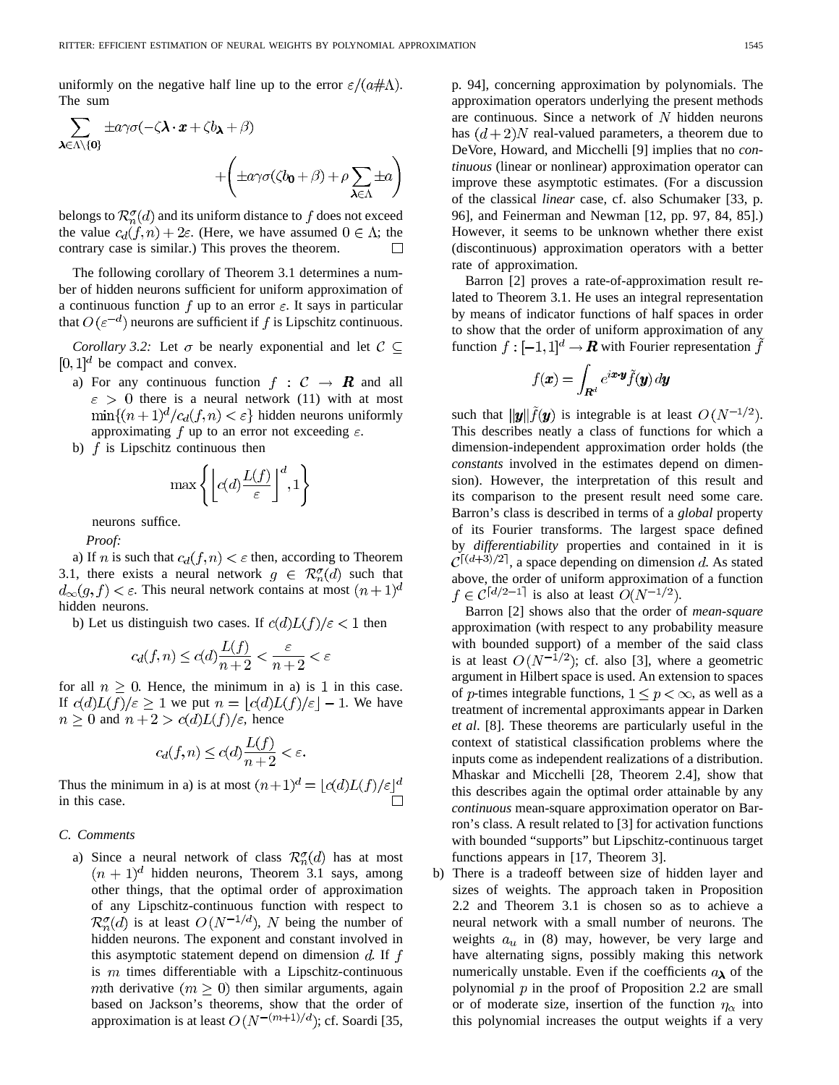uniformly on the negative half line up to the error  $\varepsilon/(a \# \Lambda)$ . The sum

$$
\sum_{\lambda \in \Lambda \setminus \{0\}} \pm a\gamma \sigma(-\zeta \lambda \cdot x + \zeta b\lambda + \beta) + \left( \pm a\gamma \sigma(\zeta b_0 + \beta) + \rho \sum_{\lambda \in \Lambda} \pm a \right)
$$

belongs to  $\mathcal{R}_n^{\sigma}(d)$  and its uniform distance to f does not exceed the value  $c_d(f, n) + 2\varepsilon$ . (Here, we have assumed  $0 \in \Lambda$ ; the contrary case is similar.) This proves the theorem.  $\overline{\phantom{a}}$ 

The following corollary of Theorem 3.1 determines a number of hidden neurons sufficient for uniform approximation of a continuous function f up to an error  $\varepsilon$ . It says in particular that  $O(\varepsilon^{-d})$  neurons are sufficient if f is Lipschitz continuous.

*Corollary 3.2:* Let  $\sigma$  be nearly exponential and let  $C \subseteq$  $[0,1]^d$  be compact and convex.

- a) For any continuous function  $f: C \rightarrow \mathbb{R}$  and all  $\epsilon > 0$  there is a neural network (11) with at most  $\min\{(n+1)^d/c_d(f,n)<\varepsilon\}$  hidden neurons uniformly approximating f up to an error not exceeding  $\varepsilon$ .
- b)  $f$  is Lipschitz continuous then

$$
\max\left\{\left\lfloor c(d)\frac{L(f)}{\varepsilon}\right\rfloor^d,1\right\}
$$

neurons suffice.

*Proof:*

a) If *n* is such that  $c_d(f, n) < \varepsilon$  then, according to Theorem 3.1, there exists a neural network  $g \in \mathcal{R}_n^{\sigma}(d)$  such that  $d_{\infty}(g, f) < \varepsilon$ . This neural network contains at most  $(n+1)^d$ hidden neurons.

b) Let us distinguish two cases. If  $c(d)L(f)/\epsilon < 1$  then

$$
c_d(f, n) \le c(d) \frac{L(f)}{n+2} < \frac{\varepsilon}{n+2} < \varepsilon
$$

for all  $n \geq 0$ . Hence, the minimum in a) is 1 in this case. If  $c(d)L(f)/\varepsilon \geq 1$  we put  $n = \lfloor c(d)L(f)/\varepsilon \rfloor - 1$ . We have  $n \geq 0$  and  $n + 2 > c(d)L(f)/\varepsilon$ , hence

$$
c_d(f, n) \le c(d) \frac{L(f)}{n+2} < \varepsilon
$$

Thus the minimum in a) is at most  $(n+1)^d = \lfloor c(d)L(f)/\varepsilon \rfloor^d$ in this case.

#### *C. Comments*

a) Since a neural network of class  $\mathcal{R}_n^{\sigma}(d)$  has at most  $(n + 1)<sup>d</sup>$  hidden neurons, Theorem 3.1 says, among other things, that the optimal order of approximation of any Lipschitz-continuous function with respect to  $\mathcal{R}_n^{\sigma}(d)$  is at least  $O(N^{-1/d})$ , N being the number of hidden neurons. The exponent and constant involved in this asymptotic statement depend on dimension  $d$ . If  $f$ is  $m$  times differentiable with a Lipschitz-continuous mth derivative  $(m \geq 0)$  then similar arguments, again based on Jackson's theorems, show that the order of approximation is at least  $O(N^{-(m+1)/d})$ ; cf. Soardi [35, p. 94], concerning approximation by polynomials. The approximation operators underlying the present methods are continuous. Since a network of  $N$  hidden neurons has  $(d+2)N$  real-valued parameters, a theorem due to DeVore, Howard, and Micchelli [9] implies that no *continuous* (linear or nonlinear) approximation operator can improve these asymptotic estimates. (For a discussion of the classical *linear* case, cf. also Schumaker [33, p. 96], and Feinerman and Newman [12, pp. 97, 84, 85].) However, it seems to be unknown whether there exist (discontinuous) approximation operators with a better rate of approximation.

Barron [2] proves a rate-of-approximation result related to Theorem 3.1. He uses an integral representation by means of indicator functions of half spaces in order to show that the order of uniform approximation of any function  $f: [-1,1]^d \to \mathbf{R}$  with Fourier representation  $\tilde{f}$ 

$$
f(\pmb{x}) = \int_{\pmb{R}^d} e^{i\pmb{x} \cdot \pmb{y}} \tilde{f}(\pmb{y}) \, d\pmb{y}
$$

such that  $\|\mathbf{y}\| \tilde{f}(\mathbf{y})$  is integrable is at least  $O(N^{-1/2})$ . This describes neatly a class of functions for which a dimension-independent approximation order holds (the *constants* involved in the estimates depend on dimension). However, the interpretation of this result and its comparison to the present result need some care. Barron's class is described in terms of a *global* property of its Fourier transforms. The largest space defined by *differentiability* properties and contained in it is  $\mathcal{C}^{[(d+3)/2]}$ , a space depending on dimension d. As stated above, the order of uniform approximation of a function  $f \in C^{\lceil d/2 - 1 \rceil}$  is also at least  $O(N^{-1/2})$ .

Barron [2] shows also that the order of *mean-square* approximation (with respect to any probability measure with bounded support) of a member of the said class is at least  $O(N^{-1/2})$ ; cf. also [3], where a geometric argument in Hilbert space is used. An extension to spaces of *p*-times integrable functions,  $1 \leq p < \infty$ , as well as a treatment of incremental approximants appear in Darken *et al*. [8]. These theorems are particularly useful in the context of statistical classification problems where the inputs come as independent realizations of a distribution. Mhaskar and Micchelli [28, Theorem 2.4], show that this describes again the optimal order attainable by any *continuous* mean-square approximation operator on Barron's class. A result related to [3] for activation functions with bounded "supports" but Lipschitz-continuous target functions appears in [17, Theorem 3].

b) There is a tradeoff between size of hidden layer and sizes of weights. The approach taken in Proposition 2.2 and Theorem 3.1 is chosen so as to achieve a neural network with a small number of neurons. The weights  $a_u$  in (8) may, however, be very large and have alternating signs, possibly making this network numerically unstable. Even if the coefficients  $a_{\lambda}$  of the polynomial  $p$  in the proof of Proposition 2.2 are small or of moderate size, insertion of the function  $\eta_{\alpha}$  into this polynomial increases the output weights if a very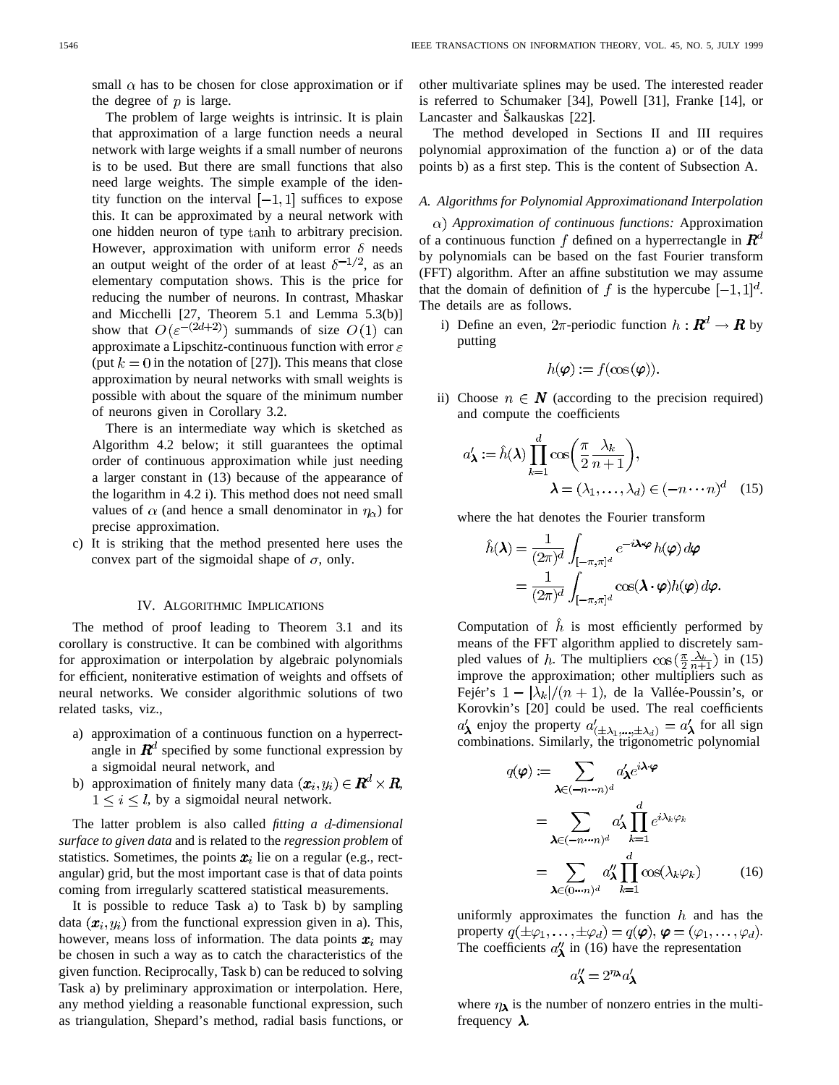small  $\alpha$  has to be chosen for close approximation or if the degree of  $p$  is large.

The problem of large weights is intrinsic. It is plain that approximation of a large function needs a neural network with large weights if a small number of neurons is to be used. But there are small functions that also need large weights. The simple example of the identity function on the interval  $[-1, 1]$  suffices to expose this. It can be approximated by a neural network with one hidden neuron of type tanh to arbitrary precision. However, approximation with uniform error  $\delta$  needs an output weight of the order of at least  $\delta^{-1/2}$ , as an elementary computation shows. This is the price for reducing the number of neurons. In contrast, Mhaskar and Micchelli [27, Theorem 5.1 and Lemma 5.3(b)] show that  $O(\varepsilon^{-(2d+2)})$  summands of size  $O(1)$  can approximate a Lipschitz-continuous function with error  $\varepsilon$ (put  $k = 0$  in the notation of [27]). This means that close approximation by neural networks with small weights is possible with about the square of the minimum number of neurons given in Corollary 3.2.

There is an intermediate way which is sketched as Algorithm 4.2 below; it still guarantees the optimal order of continuous approximation while just needing a larger constant in (13) because of the appearance of the logarithm in 4.2 i). This method does not need small values of  $\alpha$  (and hence a small denominator in  $\eta_{\alpha}$ ) for precise approximation.

c) It is striking that the method presented here uses the convex part of the sigmoidal shape of  $\sigma$ , only.

#### IV. ALGORITHMIC IMPLICATIONS

The method of proof leading to Theorem 3.1 and its corollary is constructive. It can be combined with algorithms for approximation or interpolation by algebraic polynomials for efficient, noniterative estimation of weights and offsets of neural networks. We consider algorithmic solutions of two related tasks, viz.,

- a) approximation of a continuous function on a hyperrectangle in  $\mathbf{R}^d$  specified by some functional expression by a sigmoidal neural network, and
- b) approximation of finitely many data  $(\boldsymbol{x}_i, y_i) \in \boldsymbol{R}^d \times \boldsymbol{R}$ ,  $1 \leq i \leq l$ , by a sigmoidal neural network.

The latter problem is also called *fitting a d-dimensional surface to given data* and is related to the *regression problem* of statistics. Sometimes, the points  $x_i$  lie on a regular (e.g., rectangular) grid, but the most important case is that of data points coming from irregularly scattered statistical measurements.

It is possible to reduce Task a) to Task b) by sampling data  $(\mathbf{x}_i, y_i)$  from the functional expression given in a). This, however, means loss of information. The data points  $x_i$  may be chosen in such a way as to catch the characteristics of the given function. Reciprocally, Task b) can be reduced to solving Task a) by preliminary approximation or interpolation. Here, any method yielding a reasonable functional expression, such as triangulation, Shepard's method, radial basis functions, or other multivariate splines may be used. The interested reader is referred to Schumaker [34], Powell [31], Franke [14], or Lancaster and Šalkauskas [22].

The method developed in Sections II and III requires polynomial approximation of the function a) or of the data points b) as a first step. This is the content of Subsection A.

#### *A. Algorithms for Polynomial Approximationand Interpolation*

*Approximation of continuous functions:* Approximation of a continuous function f defined on a hyperrectangle in  $\mathbf{R}^d$ by polynomials can be based on the fast Fourier transform (FFT) algorithm. After an affine substitution we may assume that the domain of definition of f is the hypercube  $[-1, 1]^d$ . The details are as follows.

i) Define an even,  $2\pi$ -periodic function  $h: \mathbb{R}^d \to \mathbb{R}$  by putting

$$
h(\boldsymbol{\varphi}) := f(\cos{(\boldsymbol{\varphi})}).
$$

ii) Choose  $n \in \mathbb{N}$  (according to the precision required) and compute the coefficients

$$
a'_{\lambda} := \hat{h}(\lambda) \prod_{k=1}^{d} \cos\left(\frac{\pi}{2} \frac{\lambda_k}{n+1}\right),
$$
  

$$
\lambda = (\lambda_1, \dots, \lambda_d) \in (-n \dots n)^d \quad (15)
$$

where the hat denotes the Fourier transform

$$
\hat{h}(\boldsymbol{\lambda}) = \frac{1}{(2\pi)^d} \int_{[-\pi,\pi]^d} e^{-i\boldsymbol{\lambda}\cdot\boldsymbol{\varphi}} h(\boldsymbol{\varphi}) d\boldsymbol{\varphi}
$$

$$
= \frac{1}{(2\pi)^d} \int_{[-\pi,\pi]^d} \cos(\boldsymbol{\lambda}\cdot\boldsymbol{\varphi}) h(\boldsymbol{\varphi}) d\boldsymbol{\varphi}.
$$

Computation of  $\hat{h}$  is most efficiently performed by means of the FFT algorithm applied to discretely sampled values of h. The multipliers  $\cos\left(\frac{\pi}{2}\frac{\lambda_k}{n+1}\right)$  in (15) improve the approximation; other multipliers such as Fejér's  $1 - |\lambda_k|/(n + 1)$ , de la Vallée-Poussin's, or Korovkin's [20] could be used. The real coefficients enjoy the property  $a'_{(+\lambda)}$ ,  $a'_{(\lambda)} = a'_{\lambda}$  for all sign combinations. Similarly, the trigonometric polynomial

$$
q(\varphi) := \sum_{\lambda \in (-n \cdots n)^d} a'_{\lambda} e^{i\lambda \cdot \varphi}
$$
  
= 
$$
\sum_{\lambda \in (-n \cdots n)^d} a'_{\lambda} \prod_{k=1}^d e^{i\lambda_k \varphi_k}
$$
  
= 
$$
\sum_{\lambda \in (0 \cdots n)^d} a'_{\lambda} \prod_{k=1}^d \cos(\lambda_k \varphi_k)
$$
(16)

uniformly approximates the function  $h$  and has the property  $q(\pm \varphi_1,\ldots,\pm \varphi_d)=q(\boldsymbol{\varphi}), \boldsymbol{\varphi}=(\varphi_1,\ldots,\varphi_d).$ The coefficients  $a''_{\lambda}$  in (16) have the representation

$$
a'_{\lambda} = 2^{\eta_{\lambda}} a'_{\lambda}
$$

where  $\eta_{\lambda}$  is the number of nonzero entries in the multifrequency  $\lambda$ .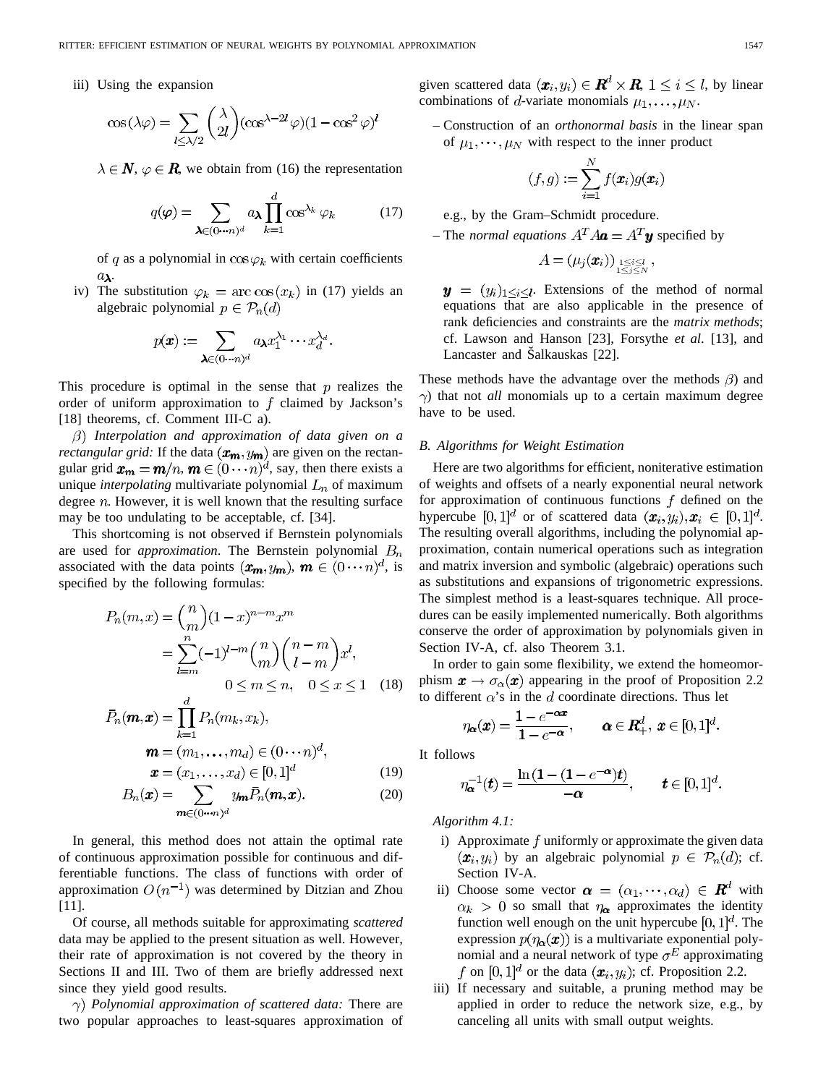iii) Using the expansion

$$
\cos(\lambda \varphi) = \sum_{l \le \lambda/2} {\lambda \choose 2l} (\cos^{\lambda - 2l} \varphi) (1 - \cos^2 \varphi)^l
$$

 $\lambda \in \mathbb{N}, \varphi \in \mathbb{R}$ , we obtain from (16) the representation

$$
q(\boldsymbol{\varphi}) = \sum_{\boldsymbol{\lambda} \in (0 \cdots n)^d} a_{\boldsymbol{\lambda}} \prod_{k=1}^d \cos^{\lambda_k} \varphi_k \tag{17}
$$

of q as a polynomial in  $\cos \varphi_k$  with certain coefficients  $a_{\lambda}$ .

iv) The substitution  $\varphi_k = \arccos(x_k)$  in (17) yields an algebraic polynomial  $p \in \mathcal{P}_n(d)$ 

$$
p(\pmb{x}) := \sum_{\pmb{\lambda} \in (0 \cdots n)^d} a_{\pmb{\lambda}} x_1^{\lambda_1} \cdots x_d^{\lambda_d}.
$$

This procedure is optimal in the sense that  $p$  realizes the order of uniform approximation to  $f$  claimed by Jackson's [18] theorems, cf. Comment III-C a).

*Interpolation and approximation of data given on a rectangular grid:* If the data  $(x_m, y_m)$  are given on the rectangular grid  $\mathbf{x}_m = \mathbf{m}/n$ ,  $\mathbf{m} \in (0 \cdots n)^d$ , say, then there exists a unique *interpolating* multivariate polynomial  $L_n$  of maximum degree  $n$ . However, it is well known that the resulting surface may be too undulating to be acceptable, cf. [34].

This shortcoming is not observed if Bernstein polynomials are used for *approximation*. The Bernstein polynomial  $B_n$ associated with the data points  $(\mathbf{x}_m, y_m)$ ,  $\mathbf{m} \in (0 \cdots n)^d$ , is specified by the following formulas:

$$
P_n(m, x) = {n \choose m} (1-x)^{n-m} x^m
$$
  
= 
$$
\sum_{l=m}^n (-1)^{l-m} {n \choose m} {n-m \choose l-m} x^l,
$$
  

$$
0 \le m \le n, \quad 0 \le x \le 1 \quad (18)
$$

$$
\bar{P}_n(\boldsymbol{m}, \boldsymbol{x}) = \prod_{k=1}^{\infty} P_n(m_k, x_k),
$$

$$
\boldsymbol{m} = (m_1, \dots, m_d) \in (0 \cdots n)^d,
$$

$$
\boldsymbol{x} = (x_1, \dots, x_d) \in [0, 1]^d \tag{19}
$$

$$
B_n(\boldsymbol{x}) = \sum_{\boldsymbol{m} \in (0 \cdots n)^d} y_{\boldsymbol{m}} \bar{P}_n(\boldsymbol{m}, \boldsymbol{x}).
$$
 (20)

In general, this method does not attain the optimal rate of continuous approximation possible for continuous and differentiable functions. The class of functions with order of approximation  $O(n^{-1})$  was determined by Ditzian and Zhou [11].

Of course, all methods suitable for approximating *scattered* data may be applied to the present situation as well. However, their rate of approximation is not covered by the theory in Sections II and III. Two of them are briefly addressed next since they yield good results.

*Polynomial approximation of scattered data:* There are two popular approaches to least-squares approximation of given scattered data  $(\boldsymbol{x}_i, y_i) \in \mathbb{R}^d \times \mathbb{R}$ ,  $1 \leq i \leq l$ , by linear combinations of d-variate monomials  $\mu_1, \ldots, \mu_N$ .

– Construction of an *orthonormal basis* in the linear span of  $\mu_1, \dots, \mu_N$  with respect to the inner product

$$
(f,g) := \sum_{i=1}^N f(\boldsymbol{x}_i) g(\boldsymbol{x}_i)
$$

e.g., by the Gram–Schmidt procedure.

– The *normal equations*  $A^T A \mathbf{a} = A^T \mathbf{y}$  specified by

$$
A = (\mu_j(\pmb{x}_i))_{\substack{1 \leq i \leq l \\ 1 \leq j \leq N}},
$$

 $y = (y_i)_{1 \leq i \leq l}$ . Extensions of the method of normal equations that are also applicable in the presence of rank deficiencies and constraints are the *matrix methods*; cf. Lawson and Hanson [23], Forsythe *et al*. [13], and Lancaster and Šalkauskas [22].

These methods have the advantage over the methods  $\beta$ ) and  $\gamma$ ) that not *all* monomials up to a certain maximum degree have to be used.

#### *B. Algorithms for Weight Estimation*

Here are two algorithms for efficient, noniterative estimation of weights and offsets of a nearly exponential neural network for approximation of continuous functions  $f$  defined on the hypercube  $[0,1]^d$  or of scattered data  $(\mathbf{x}_i,y_i), \mathbf{x}_i \in [0,1]^d$ . The resulting overall algorithms, including the polynomial approximation, contain numerical operations such as integration and matrix inversion and symbolic (algebraic) operations such as substitutions and expansions of trigonometric expressions. The simplest method is a least-squares technique. All procedures can be easily implemented numerically. Both algorithms conserve the order of approximation by polynomials given in Section IV-A, cf. also Theorem 3.1.

In order to gain some flexibility, we extend the homeomorphism  $x \to \sigma_\alpha(x)$  appearing in the proof of Proposition 2.2 to different  $\alpha$ 's in the d coordinate directions. Thus let

$$
\eta_{\boldsymbol{\alpha}}(\boldsymbol{x}) = \frac{1 - e^{-\boldsymbol{\alpha}\boldsymbol{x}}}{1 - e^{-\boldsymbol{\alpha}}}, \qquad \boldsymbol{\alpha} \in \boldsymbol{R}^d_+, \ \boldsymbol{x} \in [0, 1]^d.
$$

It follows

$$
\eta_{\boldsymbol{\alpha}}^{-1}(\boldsymbol{t}) = \frac{\ln\left(1 - (1 - e^{-\boldsymbol{\alpha}})\boldsymbol{t}\right)}{-\boldsymbol{\alpha}}, \qquad \boldsymbol{t} \in [0, 1]^d
$$

*Algorithm 4.1:*

- i) Approximate  $f$  uniformly or approximate the given data  $(x_i, y_i)$  by an algebraic polynomial  $p \in \mathcal{P}_n(d)$ ; cf. Section IV-A.
- ii) Choose some vector  $\boldsymbol{\alpha} = (\alpha_1, \cdots, \alpha_d) \in \boldsymbol{R}^d$  with  $\alpha_k > 0$  so small that  $\eta_{\alpha}$  approximates the identity function well enough on the unit hypercube  $[0, 1]^d$ . The expression  $p(\eta_{\alpha}(x))$  is a multivariate exponential polynomial and a neural network of type  $\sigma^E$  approximating f on  $[0,1]^d$  or the data  $(x_i, y_i)$ ; cf. Proposition 2.2.
- iii) If necessary and suitable, a pruning method may be applied in order to reduce the network size, e.g., by canceling all units with small output weights.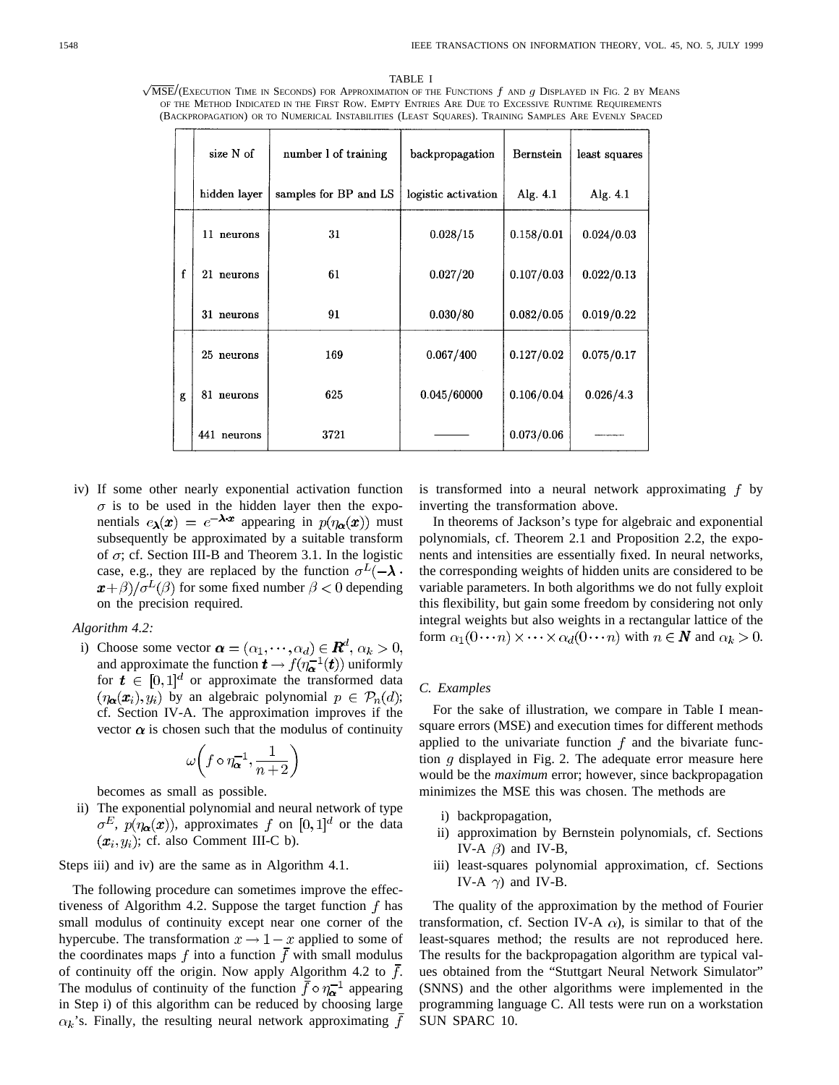$\sqrt{\text{MSE}}/(\text{ExecUTION}$  Time in Seconds) for Approximation of the Functions  $f$  and  $g$  Displayed in Fig. 2 by Means TABLE I OF THE METHOD INDICATED IN THE FIRST ROW. EMPTY ENTRIES ARE DUE TO EXCESSIVE RUNTIME REQUIREMENTS (BACKPROPAGATION) OR TO NUMERICAL INSTABILITIES (LEAST SQUARES). TRAINING SAMPLES ARE EVENLY SPACED

|             | size N of    | number 1 of training  | backpropagation     | Bernstein  | least squares |
|-------------|--------------|-----------------------|---------------------|------------|---------------|
|             | hidden layer | samples for BP and LS | logistic activation | Alg. $4.1$ | Alg. 4.1      |
| $\mathbf f$ | 11 neurons   | 31                    | 0.028/15            | 0.158/0.01 | 0.024/0.03    |
|             | 21 neurons   | 61                    | 0.027/20            | 0.107/0.03 | 0.022/0.13    |
|             | 31 neurons   | 91                    | 0.030/80            | 0.082/0.05 | 0.019/0.22    |
| g           | 25 neurons   | 169                   | 0.067/400           | 0.127/0.02 | 0.075/0.17    |
|             | 81 neurons   | 625                   | 0.045/60000         | 0.106/0.04 | 0.026/4.3     |
|             | 441 neurons  | 3721                  |                     | 0.073/0.06 |               |

iv) If some other nearly exponential activation function  $\sigma$  is to be used in the hidden layer then the exponentials  $e_{\lambda}(x) = e^{-\lambda x}$  appearing in  $p(\eta_{\alpha}(x))$  must subsequently be approximated by a suitable transform of  $\sigma$ ; cf. Section III-B and Theorem 3.1. In the logistic case, e.g., they are replaced by the function  $\sigma^L(-\lambda)$ .  $\mathbf{x}+\beta$ )/ $\sigma^L(\beta)$  for some fixed number  $\beta < 0$  depending on the precision required.

#### *Algorithm 4.2:*

i) Choose some vector  $\boldsymbol{\alpha} = (\alpha_1, \cdots, \alpha_d) \in \boldsymbol{R}^d$ ,  $\alpha_k > 0$ , and approximate the function  $t \to f(\eta_{\alpha}^{-1}(t))$  uniformly for  $t \in [0,1]^d$  or approximate the transformed data  $(\eta_{\alpha}(x_i), y_i)$  by an algebraic polynomial  $p \in \mathcal{P}_n(d)$ ; cf. Section IV-A. The approximation improves if the vector  $\alpha$  is chosen such that the modulus of continuity

$$
\omega\bigg(f\circ\eta_{\pmb{\alpha}}^{-1},\frac{1}{n+2}\bigg)
$$

becomes as small as possible.

ii) The exponential polynomial and neural network of type  $\sigma^E$ ,  $p(\eta_{\alpha}(x))$ , approximates f on [0, 1]<sup>d</sup> or the data  $(x_i, y_i)$ ; cf. also Comment III-C b).

Steps iii) and iv) are the same as in Algorithm 4.1.

The following procedure can sometimes improve the effectiveness of Algorithm 4.2. Suppose the target function  $f$  has small modulus of continuity except near one corner of the hypercube. The transformation  $x \to 1-x$  applied to some of the coordinates maps f into a function  $\bar{f}$  with small modulus of continuity off the origin. Now apply Algorithm 4.2 to  $\bar{f}$ . The modulus of continuity of the function  $\bar{f} \circ \eta_{\alpha}^{-1}$  appearing in Step i) of this algorithm can be reduced by choosing large  $\alpha_k$ 's. Finally, the resulting neural network approximating f is transformed into a neural network approximating  $f$  by inverting the transformation above.

In theorems of Jackson's type for algebraic and exponential polynomials, cf. Theorem 2.1 and Proposition 2.2, the exponents and intensities are essentially fixed. In neural networks, the corresponding weights of hidden units are considered to be variable parameters. In both algorithms we do not fully exploit this flexibility, but gain some freedom by considering not only integral weights but also weights in a rectangular lattice of the form  $\alpha_1(0\cdots n) \times \cdots \times \alpha_d(0\cdots n)$  with  $n \in \mathbb{N}$  and  $\alpha_k > 0$ .

#### *C. Examples*

For the sake of illustration, we compare in Table I meansquare errors (MSE) and execution times for different methods applied to the univariate function  $f$  and the bivariate function  $q$  displayed in Fig. 2. The adequate error measure here would be the *maximum* error; however, since backpropagation minimizes the MSE this was chosen. The methods are

- i) backpropagation,
- ii) approximation by Bernstein polynomials, cf. Sections IV-A  $\beta$ ) and IV-B,
- iii) least-squares polynomial approximation, cf. Sections IV-A  $\gamma$ ) and IV-B.

The quality of the approximation by the method of Fourier transformation, cf. Section IV-A  $\alpha$ ), is similar to that of the least-squares method; the results are not reproduced here. The results for the backpropagation algorithm are typical values obtained from the "Stuttgart Neural Network Simulator" (SNNS) and the other algorithms were implemented in the programming language C. All tests were run on a workstation SUN SPARC 10.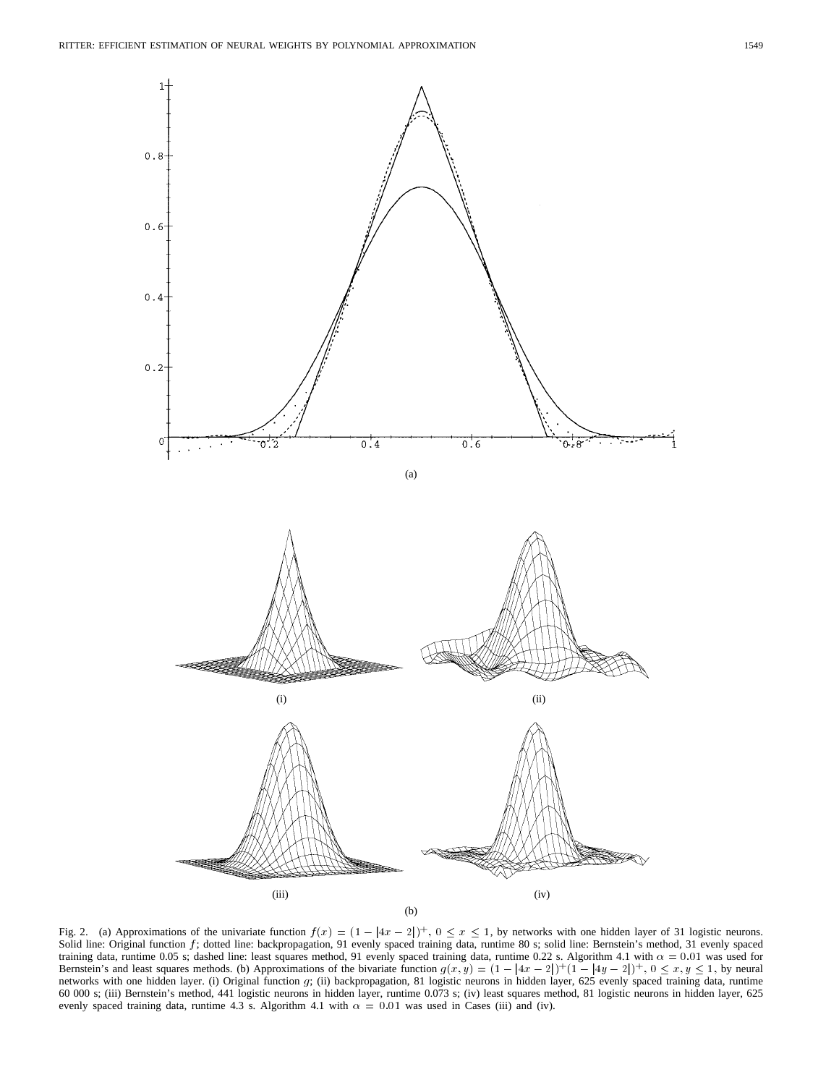

Solid line: Original function f; dotted line: backpropagation, 91 evenly spaced training data, runtime 80 s; solid line: Bernstein's method, 31 evenly spaced training data, runtime 0.05 s; dashed line: least squares method, 91 evenly spaced training data, runtime 0.22 s. Algorithm 4.1 with  $\alpha = 0.01$  was used for Bernstein's and least squares methods. (b) Approximations of the bivariate function  $g(x, y) = (1 - |4x - 2|)^{+} (1 - |4y - 2|)^{+}$ ,  $0 \le x, y \le 1$ , by neural networks with one hidden layer. (i) Original function g; (ii) backpropagation, 81 logistic neurons in hidden layer, 625 evenly spaced training data, runtime 60 000 s; (iii) Bernstein's method, 441 logistic neurons in hidden layer, runtime 0.073 s; (iv) least squares method, 81 logistic neurons in hidden layer, 625 evenly spaced training data, runtime 4.3 s. Algorithm 4.1 with  $\alpha = 0.01$  was used in Cases (iii) and (iv).